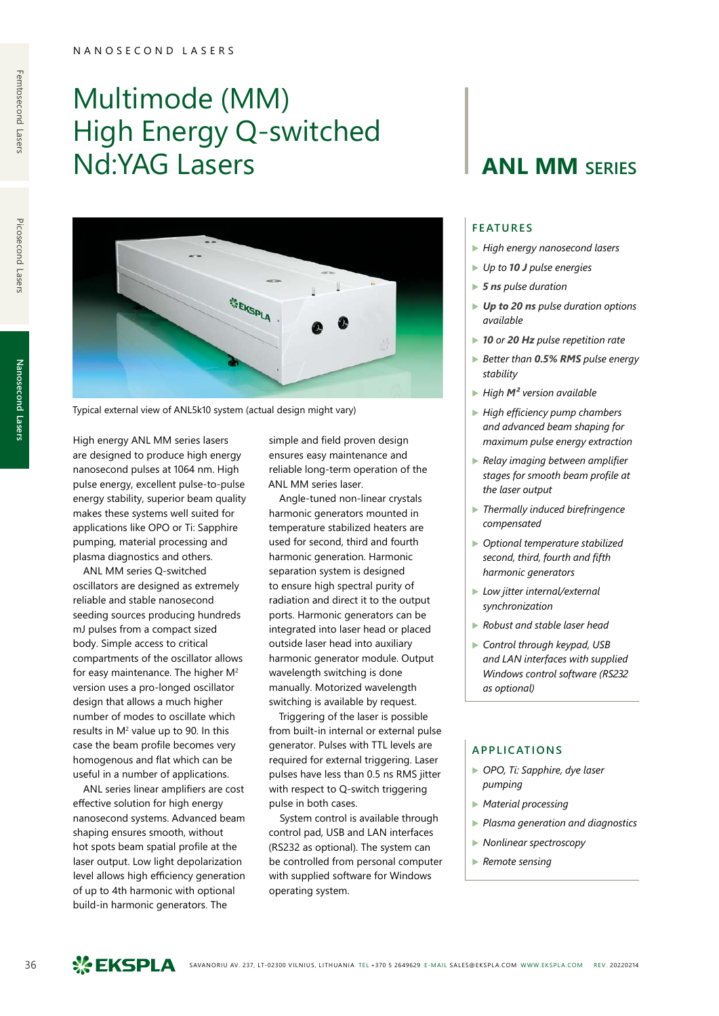## Multimode (MM) High Energy Q-switched **Nd:YAG Lasers ANL MM** SERIES



Typical external view of ANL5k10 system (actual design might vary)

High energy ANL MM series lasers are designed to produce high energy nanosecond pulses at 1064 nm. High pulse energy, excellent pulse-to-pulse energy stability, superior beam quality makes these systems well suited for applications like OPO or Ti: Sapphire pumping, material processing and plasma diagnostics and others.

ANL MM series Q-switched oscillators are designed as extremely reliable and stable nanosecond seeding sources producing hundreds mJ pulses from a compact sized body. Simple access to critical compartments of the oscillator allows for easy maintenance. The higher  $M^2$ version uses a pro-longed oscillator design that allows a much higher number of modes to oscillate which results in M<sup>2</sup> value up to 90. In this case the beam profile becomes very homogenous and flat which can be useful in a number of applications.

ANL series linear amplifiers are cost effective solution for high energy nanosecond systems. Advanced beam shaping ensures smooth, without hot spots beam spatial profile at the laser output. Low light depolarization level allows high efficiency generation of up to 4th harmonic with optional build-in harmonic generators. The

simple and field proven design ensures easy maintenance and reliable long-term operation of the ANL MM series laser.

Angle-tuned non-linear crystals harmonic generators mounted in temperature stabilized heaters are used for second, third and fourth harmonic generation. Harmonic separation system is designed to ensure high spectral purity of radiation and direct it to the output ports. Harmonic generators can be integrated into laser head or placed outside laser head into auxiliary harmonic generator module. Output wavelength switching is done manually. Motorized wavelength switching is available by request.

Triggering of the laser is possible from built-in internal or external pulse generator. Pulses with TTL levels are required for external triggering. Laser pulses have less than 0.5 ns RMS jitter with respect to Q-switch triggering pulse in both cases.

System control is available through control pad, USB and LAN interfaces (RS232 as optional). The system can be controlled from personal computer with supplied software for Windows operating system.

#### **FEATURES**

- ▶ *High energy nanosecond lasers*
- ▶ *Up to 10 J pulse energies*
- ▶ *5 ns pulse duration*
- ▶ *Up to 20 ns pulse duration options available*
- ▶ *10 or 20 Hz pulse repetition rate*
- ▶ *Better than 0.5% RMS pulse energy stability*
- ▶ *High M² version available*
- ▶ *High efficiency pump chambers and advanced beam shaping for maximum pulse energy extraction*
- ▶ *Relay imaging between amplifier stages for smooth beam profile at the laser output*
- ▶ *Thermally induced birefringence compensated*
- ▶ *Optional temperature stabilized second, third, fourth and fifth harmonic generators*
- ▶ *Low jitter internal/external synchronization*
- ▶ *Robust and stable laser head*
- ▶ *Control through keypad, USB and LAN interfaces with supplied Windows control software (RS232 as optional)*

#### **APPLICATIONS**

- ▶ *OPO, Ti: Sapphire, dye laser pumping*
- ▶ *Material processing*
- ▶ *Plasma generation and diagnostics*
- ▶ *Nonlinear spectroscopy*
- ▶ *Remote sensing*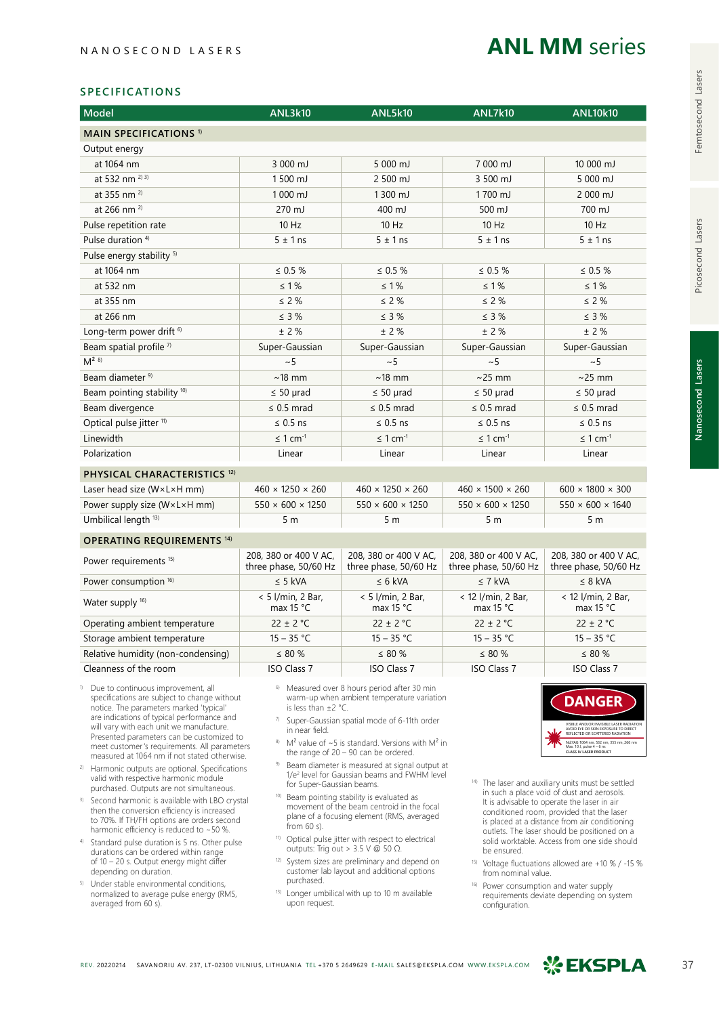## **ANL MM** series

#### **SPECIFICATIONS**

| <b>Model</b>                                    | <b>ANL3k10</b>                                 | <b>ANL5k10</b>                                         | <b>ANL7k10</b>                                 | <b>ANL10k10</b>                                |  |  |
|-------------------------------------------------|------------------------------------------------|--------------------------------------------------------|------------------------------------------------|------------------------------------------------|--|--|
| <b>MAIN SPECIFICATIONS 1)</b>                   |                                                |                                                        |                                                |                                                |  |  |
| Output energy                                   |                                                |                                                        |                                                |                                                |  |  |
| at 1064 nm                                      | 3 000 mJ                                       | 5 000 mJ                                               | 7 000 mJ                                       | 10 000 mJ                                      |  |  |
| at 532 nm <sup>2) 3)</sup>                      | 1500 mJ                                        | 2 500 mJ                                               | 3 500 mJ                                       | 5 000 mJ                                       |  |  |
| at 355 nm <sup>2)</sup>                         | 1000 mJ                                        | 1300 mJ                                                | 1700 mJ                                        | 2 000 mJ                                       |  |  |
| at 266 nm <sup>2)</sup>                         | 270 mJ                                         | 400 mJ                                                 | 500 mJ                                         | 700 mJ                                         |  |  |
| Pulse repetition rate                           | $10$ Hz                                        | $10$ Hz                                                | $10$ Hz                                        | $10$ Hz                                        |  |  |
| Pulse duration <sup>4)</sup>                    | $5 \pm 1$ ns                                   | $5 \pm 1$ ns                                           | $5 \pm 1$ ns                                   | $5 \pm 1$ ns                                   |  |  |
| Pulse energy stability <sup>5)</sup>            |                                                |                                                        |                                                |                                                |  |  |
| at 1064 nm                                      | $\leq 0.5 \%$                                  | $\leq 0.5 \%$                                          | $\leq 0.5 \%$                                  | $\leq 0.5 \%$                                  |  |  |
| at 532 nm                                       | $\leq 1\%$                                     | $\leq 1\%$                                             | $\leq 1\%$                                     | $\leq 1\%$                                     |  |  |
| at 355 nm                                       | $\leq 2\%$                                     | $\leq 2\%$                                             | $\leq 2\%$                                     | $\leq 2\%$                                     |  |  |
| at 266 nm                                       | $\leq$ 3 %                                     | $\leq$ 3 %                                             | $\leq$ 3 %                                     | $\leq$ 3 %                                     |  |  |
| Long-term power drift <sup>6)</sup>             | $\pm$ 2 %                                      | $\pm$ 2 %                                              | ± 2%                                           | $±$ 2 %                                        |  |  |
| Beam spatial profile 7)                         | Super-Gaussian                                 | Super-Gaussian                                         | Super-Gaussian                                 | Super-Gaussian                                 |  |  |
| $M^{2}$ 8)                                      | ~5                                             | ~5                                                     | ~5                                             | ~5                                             |  |  |
| Beam diameter <sup>9)</sup>                     | $~18$ mm                                       | $~18$ mm                                               | $\sim$ 25 mm                                   | $\sim$ 25 mm                                   |  |  |
| Beam pointing stability <sup>10)</sup>          | $\leq 50$ µrad                                 | $\leq 50$ µrad                                         | $\leq 50$ µrad                                 | $\leq 50$ µrad                                 |  |  |
| Beam divergence                                 | $\leq$ 0.5 mrad                                | $\leq$ 0.5 mrad                                        | $\leq$ 0.5 mrad                                | $\leq$ 0.5 mrad                                |  |  |
| Optical pulse jitter <sup>11)</sup>             | $\leq$ 0.5 ns                                  | $\leq$ 0.5 ns                                          | $\leq$ 0.5 ns                                  | $\leq$ 0.5 ns                                  |  |  |
| Linewidth                                       | $\leq$ 1 cm <sup>-1</sup>                      | $\leq 1$ cm <sup>-1</sup>                              | $\leq 1$ cm <sup>-1</sup>                      | $\leq 1$ cm <sup>-1</sup>                      |  |  |
| Polarization                                    | Linear                                         | Linear                                                 | Linear                                         | Linear                                         |  |  |
| PHYSICAL CHARACTERISTICS <sup>12)</sup>         |                                                |                                                        |                                                |                                                |  |  |
| Laser head size ( $W \times L \times H$ mm)     | $460 \times 1250 \times 260$                   | $460 \times 1250 \times 260$                           | $460 \times 1500 \times 260$                   | $600 \times 1800 \times 300$                   |  |  |
| Power supply size (WxLxH mm)                    | $550 \times 600 \times 1250$                   | $550 \times 600 \times 1250$                           | $550 \times 600 \times 1250$                   | $550 \times 600 \times 1640$                   |  |  |
| Umbilical length <sup>13)</sup>                 | 5 <sub>m</sub>                                 | 5 <sub>m</sub>                                         | 5 <sub>m</sub>                                 | 5 <sub>m</sub>                                 |  |  |
| <b>OPERATING REQUIREMENTS 14)</b>               |                                                |                                                        |                                                |                                                |  |  |
| Power requirements <sup>15)</sup>               | 208, 380 or 400 V AC,<br>three phase, 50/60 Hz | 208, 380 or 400 V AC,<br>three phase, 50/60 Hz         | 208, 380 or 400 V AC,<br>three phase, 50/60 Hz | 208, 380 or 400 V AC,<br>three phase, 50/60 Hz |  |  |
| Power consumption 16)                           | $\leq$ 5 kVA                                   | $\leq 6$ kVA                                           | $\leq$ 7 kVA                                   | $\leq 8$ kVA                                   |  |  |
| Water supply <sup>16)</sup>                     | $< 5$ l/min, 2 Bar,<br>max $15 °C$             | < 5 l/min, 2 Bar,<br>max $15 °C$                       | < 12 l/min, 2 Bar,<br>max $15 °C$              | < 12 l/min, 2 Bar,<br>max $15 °C$              |  |  |
| Operating ambient temperature                   | $22 \pm 2$ °C                                  | $22 \pm 2$ °C                                          | $22 \pm 2$ °C                                  | $22 \pm 2$ °C                                  |  |  |
| Storage ambient temperature                     | $15 - 35 °C$                                   | $15 - 35 °C$                                           | $15 - 35 °C$                                   | $15 - 35 °C$                                   |  |  |
| Relative humidity (non-condensing)              | $\leq 80 \%$                                   | $\leq 80 \%$                                           | $\leq 80 \%$                                   | $\leq 80 \%$                                   |  |  |
| Cleanness of the room                           | <b>ISO Class 7</b>                             | <b>ISO Class 7</b>                                     | <b>ISO Class 7</b>                             | <b>ISO Class 7</b>                             |  |  |
| <sup>0</sup> Due to continuous improvement, all |                                                | <sup>6</sup> Measured over 8 hours period after 30 min |                                                |                                                |  |  |

- 1) Due to continuous improvement, all specifications are subject to change without notice. The parameters marked 'typical' are indications of typical performance and will vary with each unit we manufacture. Presented parameters can be customized to meet customer's requirements. All parameters measured at 1064 nm if not stated otherwise.
- <sup>2)</sup> Harmonic outputs are optional. Specifications valid with respective harmonic module purchased. Outputs are not simultaneous.
- 3) Second harmonic is available with LBO crystal then the conversion efficiency is increased to 70%. If TH/FH options are orders second harmonic efficiency is reduced to ~50 %.
- 4) Standard pulse duration is 5 ns. Other pulse durations can be ordered within range of 10 – 20 s. Output energy might differ depending on duration.
- 5) Under stable environmental conditions, normalized to average pulse energy (RMS, averaged from 60 s).
- 6) Measured over 8 hours period after 30 min warm-up when ambient temperature variation is less than ±2 °C.
- 7) Super-Gaussian spatial mode of 6-11th order in near field.
- 8) M<sup>2</sup> value of  $\sim$  5 is standard. Versions with M<sup>2</sup> in the range of 20 – 90 can be ordered.
- Beam diameter is measured at signal output at 1/e<sup>2</sup> level for Gaussian beams and FWHM level for Super-Gaussian beams.
- 10) Beam pointing stability is evaluated as movement of the beam centroid in the focal plane of a focusing element (RMS, averaged from 60 s).
- 11) Optical pulse jitter with respect to electrical outputs: Trig out > 3.5 V  $\omega$  50 Ω.
- <sup>12)</sup> System sizes are preliminary and depend on customer lab layout and additional options purchased.
- 13) Longer umbilical with up to 10 m available upon request.



- 14) The laser and auxiliary units must be settled in such a place void of dust and aerosols. It is advisable to operate the laser in air conditioned room, provided that the laser is placed at a distance from air conditioning outlets. The laser should be positioned on a solid worktable. Access from one side should be ensured.
- 15) Voltage fluctuations allowed are +10 % / -15 % from nominal value.
- 16) Power consumption and water supply requirements deviate depending on system configuration.

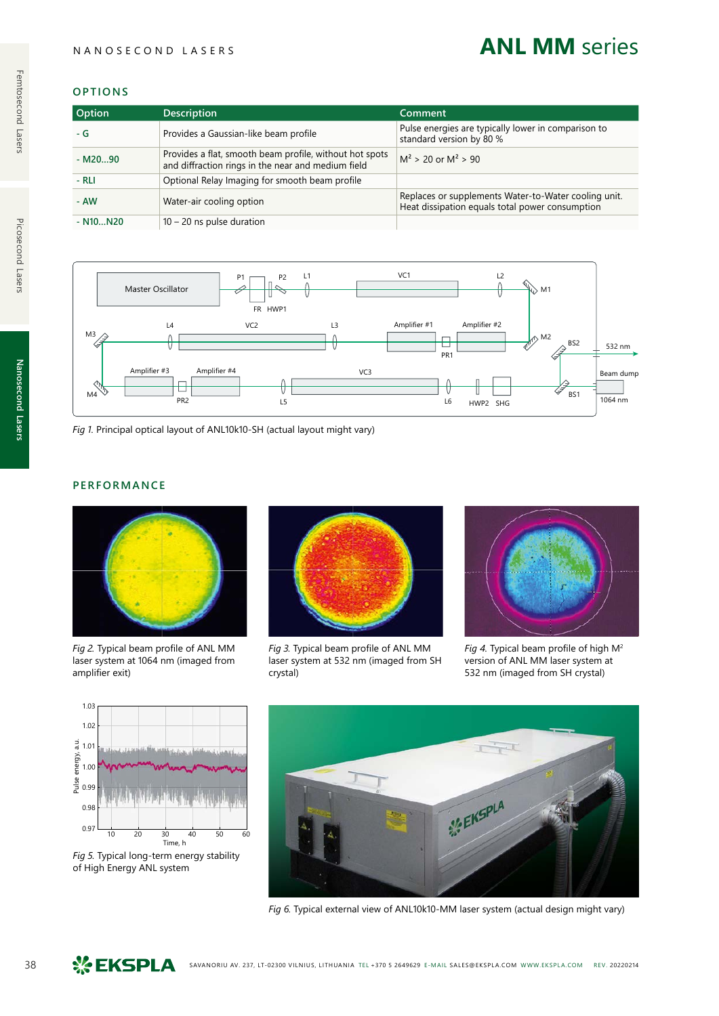#### NANOSECOND LASERS

## **ANL MM** series

#### **OPTIONS**

| Option     | <b>Description</b>                                                                                            | Comment                                                                                                 |
|------------|---------------------------------------------------------------------------------------------------------------|---------------------------------------------------------------------------------------------------------|
| $-G$       | Provides a Gaussian-like beam profile                                                                         | Pulse energies are typically lower in comparison to<br>standard version by 80 %                         |
| $-M2090$   | Provides a flat, smooth beam profile, without hot spots<br>and diffraction rings in the near and medium field | $M^2 > 20$ or $M^2 > 90$                                                                                |
| $-RLI$     | Optional Relay Imaging for smooth beam profile                                                                |                                                                                                         |
| - AW       | Water-air cooling option                                                                                      | Replaces or supplements Water-to-Water cooling unit.<br>Heat dissipation equals total power consumption |
| $- N10N20$ | $10 - 20$ ns pulse duration                                                                                   |                                                                                                         |



*Fig 1.* Principal optical layout of ANL10k10-SH (actual layout might vary)

### **PERFORMANCE**



*Fig 2.* Typical beam profile of ANL MM laser system at 1064 nm (imaged from amplifier exit)



*Fig 3.* Typical beam profile of ANL MM laser system at 532 nm (imaged from SH crystal)



*Fig 4.* Typical beam profile of high M2 version of ANL MM laser system at 532 nm (imaged from SH crystal)



*Fig 5.* Typical long-term energy stability of High Energy ANL system



*Fig 6.* Typical external view of ANL10k10-MM laser system (actual design might vary)